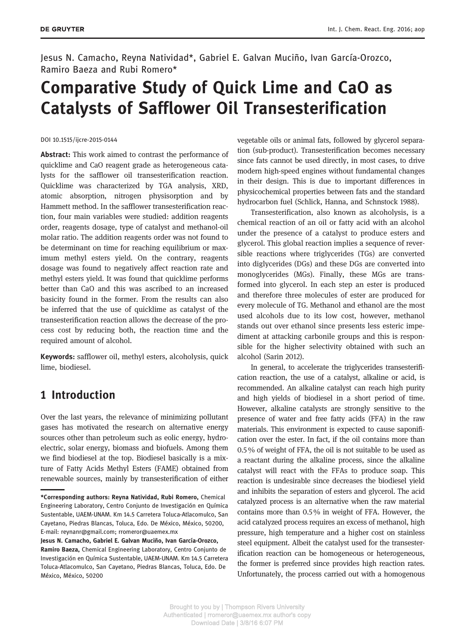Jesus N. Camacho, Reyna Natividad\*, Gabriel E. Galvan Muciño, Ivan García-Orozco, Ramiro Baeza and Rubi Romero\*

# Comparative Study of Quick Lime and CaO as Catalysts of Safflower Oil Transesterification

DOI 10.1515/ijcre-2015-0144

Abstract: This work aimed to contrast the performance of quicklime and CaO reagent grade as heterogeneous catalysts for the safflower oil transesterification reaction. Quicklime was characterized by TGA analysis, XRD, atomic absorption, nitrogen physisorption and by Hammett method. In the safflower transesterification reaction, four main variables were studied: addition reagents order, reagents dosage, type of catalyst and methanol-oil molar ratio. The addition reagents order was not found to be determinant on time for reaching equilibrium or maximum methyl esters yield. On the contrary, reagents dosage was found to negatively affect reaction rate and methyl esters yield. It was found that quicklime performs better than CaO and this was ascribed to an increased basicity found in the former. From the results can also be inferred that the use of quicklime as catalyst of the transesterification reaction allows the decrease of the process cost by reducing both, the reaction time and the required amount of alcohol.

Keywords: safflower oil, methyl esters, alcoholysis, quick lime, biodiesel.

# 1 Introduction

Over the last years, the relevance of minimizing pollutant gases has motivated the research on alternative energy sources other than petroleum such as eolic energy, hydroelectric, solar energy, biomass and biofuels. Among them we find biodiesel at the top. Biodiesel basically is a mixture of Fatty Acids Methyl Esters (FAME) obtained from renewable sources, mainly by transesterification of either

Jesus N. Camacho, Gabriel E. Galvan Muciño, Ivan García-Orozco, Ramiro Baeza, Chemical Engineering Laboratory, Centro Conjunto de Investigación en Química Sustentable, UAEM-UNAM. Km 14.5 Carretera Toluca-Atlacomulco, San Cayetano, Piedras Blancas, Toluca, Edo. De México, México, 50200

vegetable oils or animal fats, followed by glycerol separation (sub-product). Transesterification becomes necessary since fats cannot be used directly, in most cases, to drive modern high-speed engines without fundamental changes in their design. This is due to important differences in physicochemical properties between fats and the standard hydrocarbon fuel (Schlick, Hanna, and Schnstock 1988).

Transesterification, also known as alcoholysis, is a chemical reaction of an oil or fatty acid with an alcohol under the presence of a catalyst to produce esters and glycerol. This global reaction implies a sequence of reversible reactions where triglycerides (TGs) are converted into diglycerides (DGs) and these DGs are converted into monoglycerides (MGs). Finally, these MGs are transformed into glycerol. In each step an ester is produced and therefore three molecules of ester are produced for every molecule of TG. Methanol and ethanol are the most used alcohols due to its low cost, however, methanol stands out over ethanol since presents less esteric impediment at attacking carbonile groups and this is responsible for the higher selectivity obtained with such an alcohol (Sarin 2012).

In general, to accelerate the triglycerides transesterification reaction, the use of a catalyst, alkaline or acid, is recommended. An alkaline catalyst can reach high purity and high yields of biodiesel in a short period of time. However, alkaline catalysts are strongly sensitive to the presence of water and free fatty acids (FFA) in the raw materials. This environment is expected to cause saponification over the ester. In fact, if the oil contains more than 0.5 % of weight of FFA, the oil is not suitable to be used as a reactant during the alkaline process, since the alkaline catalyst will react with the FFAs to produce soap. This reaction is undesirable since decreases the biodiesel yield and inhibits the separation of esters and glycerol. The acid catalyzed process is an alternative when the raw material contains more than 0.5 % in weight of FFA. However, the acid catalyzed process requires an excess of methanol, high pressure, high temperature and a higher cost on stainless steel equipment. Albeit the catalyst used for the transesterification reaction can be homogeneous or heterogeneous, the former is preferred since provides high reaction rates. Unfortunately, the process carried out with a homogenous

<sup>\*</sup>Corresponding authors: Reyna Natividad, Rubi Romero, Chemical Engineering Laboratory, Centro Conjunto de Investigación en Química Sustentable, UAEM-UNAM. Km 14.5 Carretera Toluca-Atlacomulco, San Cayetano, Piedras Blancas, Toluca, Edo. De México, México, 50200, E-mail: reynanr@gmail.com; rromeror@uaemex.mx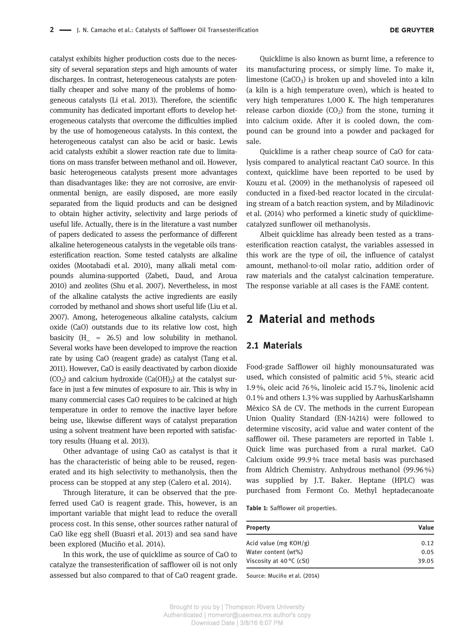catalyst exhibits higher production costs due to the necessity of several separation steps and high amounts of water discharges. In contrast, heterogeneous catalysts are potentially cheaper and solve many of the problems of homogeneous catalysts (Li et al. 2013). Therefore, the scientific community has dedicated important efforts to develop heterogeneous catalysts that overcome the difficulties implied by the use of homogeneous catalysts. In this context, the heterogeneous catalyst can also be acid or basic. Lewis acid catalysts exhibit a slower reaction rate due to limitations on mass transfer between methanol and oil. However, basic heterogeneous catalysts present more advantages than disadvantages like: they are not corrosive, are environmental benign, are easily disposed, are more easily separated from the liquid products and can be designed to obtain higher activity, selectivity and large periods of useful life. Actually, there is in the literature a vast number of papers dedicated to assess the performance of different alkaline heterogeneous catalysts in the vegetable oils transesterification reaction. Some tested catalysts are alkaline oxides (Mootabadi et al. 2010), many alkali metal compounds alumina-supported (Zabeti, Daud, and Aroua 2010) and zeolites (Shu et al. 2007). Nevertheless, in most of the alkaline catalysts the active ingredients are easily corroded by methanol and shows short useful life (Liu et al. 2007). Among, heterogeneous alkaline catalysts, calcium oxide (CaO) outstands due to its relative low cost, high basicity  $(H = 26.5)$  and low solubility in methanol. Several works have been developed to improve the reaction rate by using CaO (reagent grade) as catalyst (Tang et al. 2011). However, CaO is easily deactivated by carbon dioxide  $(CO<sub>2</sub>)$  and calcium hydroxide  $(Ca(OH<sub>2</sub>))$  at the catalyst surface in just a few minutes of exposure to air. This is why in many commercial cases CaO requires to be calcined at high temperature in order to remove the inactive layer before being use, likewise different ways of catalyst preparation using a solvent treatment have been reported with satisfactory results (Huang et al. 2013).

Other advantage of using CaO as catalyst is that it has the characteristic of being able to be reused, regenerated and its high selectivity to methanolysis, then the process can be stopped at any step (Calero et al. 2014).

Through literature, it can be observed that the preferred used CaO is reagent grade. This, however, is an important variable that might lead to reduce the overall process cost. In this sense, other sources rather natural of CaO like egg shell (Buasri et al. 2013) and sea sand have been explored (Muciño et al. 2014).

In this work, the use of quicklime as source of CaO to catalyze the transesterification of safflower oil is not only assessed but also compared to that of CaO reagent grade.

Quicklime is also known as burnt lime, a reference to its manufacturing process, or simply lime. To make it, limestone (CaCO<sub>3</sub>) is broken up and shoveled into a kiln (a kiln is a high temperature oven), which is heated to very high temperatures 1,000 K. The high temperatures release carbon dioxide  $(CO<sub>2</sub>)$  from the stone, turning it into calcium oxide. After it is cooled down, the compound can be ground into a powder and packaged for sale.

Quicklime is a rather cheap source of CaO for catalysis compared to analytical reactant CaO source. In this context, quicklime have been reported to be used by Kouzu et al. (2009) in the methanolysis of rapeseed oil conducted in a fixed-bed reactor located in the circulating stream of a batch reaction system, and by Miladinovic et al. (2014) who performed a kinetic study of quicklimecatalyzed sunflower oil methanolysis.

Albeit quicklime has already been tested as a transesterification reaction catalyst, the variables assessed in this work are the type of oil, the influence of catalyst amount, methanol-to-oil molar ratio, addition order of raw materials and the catalyst calcination temperature. The response variable at all cases is the FAME content.

# 2 Material and methods

### 2.1 Materials

Food-grade Safflower oil highly monounsaturated was used, which consisted of palmitic acid 5 %, stearic acid 1.9 %, oleic acid 76 %, linoleic acid 15.7 %, linolenic acid 0.1 % and others 1.3 % was supplied by AarhusKarlshamn México SA de CV. The methods in the current European Union Quality Standard (EN-14214) were followed to determine viscosity, acid value and water content of the safflower oil. These parameters are reported in Table 1. Quick lime was purchased from a rural market. CaO Calcium oxide 99.9 % trace metal basis was purchased from Aldrich Chemistry. Anhydrous methanol (99.96 %) was supplied by J.T. Baker. Heptane (HPLC) was purchased from Fermont Co. Methyl heptadecanoate

Table 1: Safflower oil properties.

| <b>Property</b>                   | Value |
|-----------------------------------|-------|
| Acid value (mg $KOH/g$ )          | 0.12  |
| Water content (wt%)               | 0.05  |
| Viscosity at $40^{\circ}$ C (cSt) | 39.05 |

Source: Muciño et al. (2014)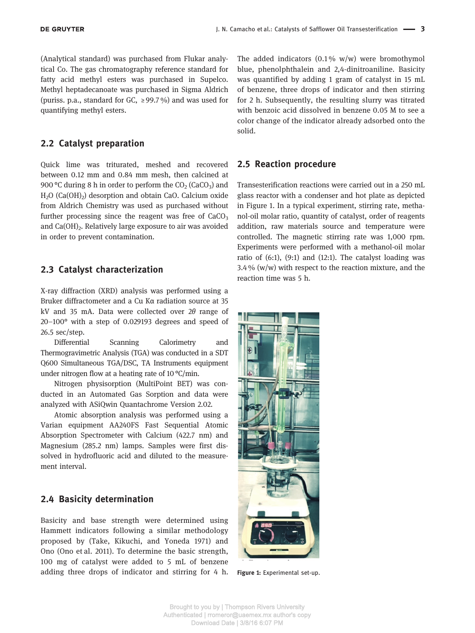(Analytical standard) was purchased from Flukar analytical Co. The gas chromatography reference standard for fatty acid methyl esters was purchased in Supelco. Methyl heptadecanoate was purchased in Sigma Aldrich (puriss. p.a., standard for GC,  $\geq$  99.7%) and was used for quantifying methyl esters.

# 2.2 Catalyst preparation

Quick lime was triturated, meshed and recovered between 0.12 mm and 0.84 mm mesh, then calcined at 900 °C during 8 h in order to perform the  $CO<sub>2</sub>$  (CaCO<sub>3</sub>) and  $H<sub>2</sub>O$  (Ca(OH)<sub>2</sub>) desorption and obtain CaO. Calcium oxide from Aldrich Chemistry was used as purchased without further processing since the reagent was free of  $CaCO<sub>3</sub>$ and  $Ca(OH)_2$ . Relatively large exposure to air was avoided in order to prevent contamination.

# 2.3 Catalyst characterization

X-ray diffraction (XRD) analysis was performed using a Bruker diffractometer and a Cu Kα radiation source at 35 kV and 35 mA. Data were collected over 2θ range of 20–100° with a step of 0.029193 degrees and speed of 26.5 sec/step.

Differential Scanning Calorimetry and Thermogravimetric Analysis (TGA) was conducted in a SDT Q600 Simultaneous TGA/DSC, TA Instruments equipment under nitrogen flow at a heating rate of 10 °C/min.

Nitrogen physisorption (MultiPoint BET) was conducted in an Automated Gas Sorption and data were analyzed with ASiQwin Quantachrome Version 2.02.

Atomic absorption analysis was performed using a Varian equipment AA240FS Fast Sequential Atomic Absorption Spectrometer with Calcium (422.7 nm) and Magnesium (285.2 nm) lamps. Samples were first dissolved in hydrofluoric acid and diluted to the measurement interval.

# 2.4 Basicity determination

Basicity and base strength were determined using Hammett indicators following a similar methodology proposed by (Take, Kikuchi, and Yoneda 1971) and Ono (Ono et al. 2011). To determine the basic strength, 100 mg of catalyst were added to 5 mL of benzene adding three drops of indicator and stirring for 4 h. The added indicators  $(0.1\% \text{ w/w})$  were bromothymol blue, phenolphthalein and 2,4-dinitroaniline. Basicity was quantified by adding 1 gram of catalyst in 15 mL of benzene, three drops of indicator and then stirring for 2 h. Subsequently, the resulting slurry was titrated with benzoic acid dissolved in benzene 0.05 M to see a color change of the indicator already adsorbed onto the solid.

# 2.5 Reaction procedure

Transesterification reactions were carried out in a 250 mL glass reactor with a condenser and hot plate as depicted in Figure 1. In a typical experiment, stirring rate, methanol-oil molar ratio, quantity of catalyst, order of reagents addition, raw materials source and temperature were controlled. The magnetic stirring rate was 1,000 rpm. Experiments were performed with a methanol-oil molar ratio of  $(6:1)$ ,  $(9:1)$  and  $(12:1)$ . The catalyst loading was 3.4  $\%$  (w/w) with respect to the reaction mixture, and the reaction time was 5 h.



Figure 1: Experimental set-up.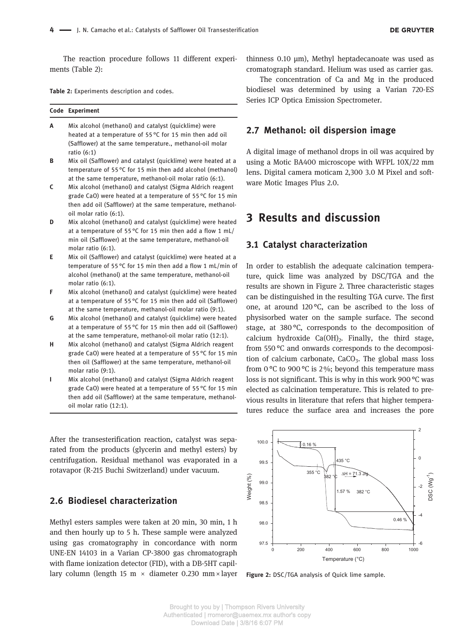The reaction procedure follows 11 different experiments (Table 2):

Table 2: Experiments description and codes.

#### Code Experiment

- A Mix alcohol (methanol) and catalyst (quicklime) were heated at a temperature of 55 °C for 15 min then add oil (Safflower) at the same temperature., methanol-oil molar ratio  $(6:1)$
- B Mix oil (Safflower) and catalyst (quicklime) were heated at a temperature of  $55^{\circ}$ C for 15 min then add alcohol (methanol) at the same temperature, methanol-oil molar ratio  $(6:1)$ .
- C Mix alcohol (methanol) and catalyst (Sigma Aldrich reagent grade CaO) were heated at a temperature of  $55^{\circ}$ C for 15 min then add oil (Safflower) at the same temperature, methanoloil molar ratio  $(6:1)$ .
- D Mix alcohol (methanol) and catalyst (quicklime) were heated at a temperature of 55 °C for 15 min then add a flow 1 mL/ min oil (Safflower) at the same temperature, methanol-oil molar ratio  $(6:1)$ .
- E Mix oil (Safflower) and catalyst (quicklime) were heated at a temperature of 55 °C for 15 min then add a flow 1 mL/min of alcohol (methanol) at the same temperature, methanol-oil molar ratio  $(6:1)$ .
- F Mix alcohol (methanol) and catalyst (quicklime) were heated at a temperature of  $55^{\circ}$ C for 15 min then add oil (Safflower) at the same temperature, methanol-oil molar ratio  $(9:1)$ .
- G Mix alcohol (methanol) and catalyst (quicklime) were heated at a temperature of  $55^{\circ}$ C for 15 min then add oil (Safflower) at the same temperature, methanol-oil molar ratio  $(12:1)$ .
- H Mix alcohol (methanol) and catalyst (Sigma Aldrich reagent grade CaO) were heated at a temperature of 55 °C for 15 min then oil (Safflower) at the same temperature, methanol-oil molar ratio  $(9:1)$ .
- I Mix alcohol (methanol) and catalyst (Sigma Aldrich reagent grade CaO) were heated at a temperature of  $55^{\circ}$ C for 15 min then add oil (Safflower) at the same temperature, methanoloil molar ratio  $(12:1)$ .

After the transesterification reaction, catalyst was separated from the products (glycerin and methyl esters) by centrifugation. Residual methanol was evaporated in a rotavapor (R-215 Buchi Switzerland) under vacuum.

### 2.6 Biodiesel characterization

Methyl esters samples were taken at 20 min, 30 min, 1 h and then hourly up to 5 h. These sample were analyzed using gas cromatography in concordance with norm UNE-EN 14103 in a Varian CP-3800 gas chromatograph with flame ionization detector (FID), with a DB-5HT capillary column (length 15 m  $\times$  diameter 0.230 mm  $\times$  layer thinness 0.10 μm), Methyl heptadecanoate was used as cromatograph standard. Helium was used as carrier gas.

The concentration of Ca and Mg in the produced biodiesel was determined by using a Varian 720-ES Series ICP Optica Emission Spectrometer.

### 2.7 Methanol: oil dispersion image

A digital image of methanol drops in oil was acquired by using a Motic BA400 microscope with WFPL 10X/22 mm lens. Digital camera moticam 2,300 3.0 M Pixel and software Motic Images Plus 2.0.

# 3 Results and discussion

### 3.1 Catalyst characterization

In order to establish the adequate calcination temperature, quick lime was analyzed by DSC/TGA and the results are shown in Figure 2. Three characteristic stages can be distinguished in the resulting TGA curve. The first one, at around 120 °C, can be ascribed to the loss of physisorbed water on the sample surface. The second stage, at 380 °C, corresponds to the decomposition of calcium hydroxide  $Ca(OH)_2$ . Finally, the third stage, from 550 °C and onwards corresponds to the decomposition of calcium carbonate,  $CaCO<sub>3</sub>$ . The global mass loss from 0 °C to 900 °C is 2%; beyond this temperature mass loss is not significant. This is why in this work 900 °C was elected as calcination temperature. This is related to previous results in literature that refers that higher temperatures reduce the surface area and increases the pore



Figure 2: DSC/TGA analysis of Quick lime sample.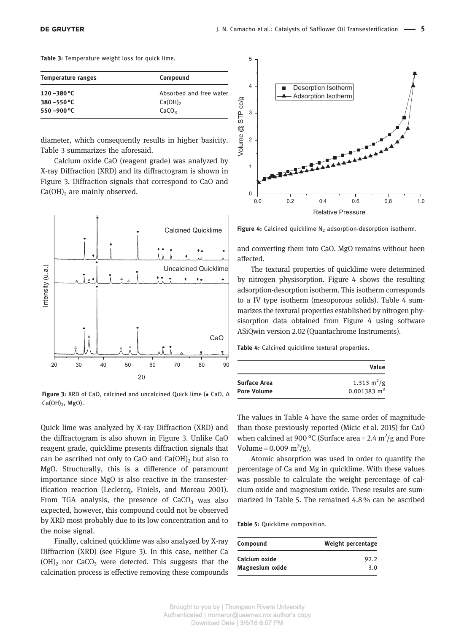Table 3: Temperature weight loss for quick lime.

| Temperature ranges | Compound                |  |
|--------------------|-------------------------|--|
| $120 - 380$ °C     | Absorbed and free water |  |
| $380 - 550$ °C     | $Ca(OH)_{2}$            |  |
| $550 - 900$ °C     | CaCO <sub>3</sub>       |  |

diameter, which consequently results in higher basicity. Table 3 summarizes the aforesaid.

Calcium oxide CaO (reagent grade) was analyzed by X-ray Diffraction (XRD) and its diffractogram is shown in Figure 3. Diffraction signals that correspond to CaO and  $Ca(OH)$ <sub>2</sub> are mainly observed.



Figure 3: XRD of CaO, calcined and uncalcined Quick lime ( $\bullet$  CaO, Δ  $Ca(OH)_2$ , MgO).

Quick lime was analyzed by X-ray Diffraction (XRD) and the diffractogram is also shown in Figure 3. Unlike CaO reagent grade, quicklime presents diffraction signals that can be ascribed not only to CaO and  $Ca(OH)$ <sub>2</sub> but also to MgO. Structurally, this is a difference of paramount importance since MgO is also reactive in the transesterification reaction (Leclercq, Finiels, and Moreau 2001). From TGA analysis, the presence of  $CaCO<sub>3</sub>$  was also expected, however, this compound could not be observed by XRD most probably due to its low concentration and to the noise signal.

Finally, calcined quicklime was also analyzed by X-ray Diffraction (XRD) (see Figure 3). In this case, neither Ca  $(OH)_2$  nor CaCO<sub>3</sub> were detected. This suggests that the calcination process is effective removing these compounds



Figure 4: Calcined quicklime  $N_2$  adsorption-desorption isotherm.

and converting them into CaO. MgO remains without been affected.

The textural properties of quicklime were determined by nitrogen physisorption. Figure 4 shows the resulting adsorption-desorption isotherm. This isotherm corresponds to a IV type isotherm (mesoporous solids). Table 4 summarizes the textural properties established by nitrogen physisorption data obtained from Figure 4 using software ASiQwin version 2.02 (Quantachrome Instruments).

Table 4: Calcined quicklime textural properties.

| Value                                                |  |
|------------------------------------------------------|--|
| 1.313 m <sup>2</sup> /g<br>$0.001383$ m <sup>3</sup> |  |
|                                                      |  |

The values in Table 4 have the same order of magnitude than those previously reported (Micic et al. 2015) for CaO when calcined at 900 °C (Surface area = 2.4  $\text{m}^2/\text{g}$  and Pore Volume =  $0.009 \text{ m}^3/\text{g}$ ).

Atomic absorption was used in order to quantify the percentage of Ca and Mg in quicklime. With these values was possible to calculate the weight percentage of calcium oxide and magnesium oxide. These results are summarized in Table 5. The remained 4.8 % can be ascribed

Table 5: Quicklime composition.

| Weight percentage<br>Compound |      |
|-------------------------------|------|
| Calcium oxide                 | 92.2 |
| Magnesium oxide               | 3.0  |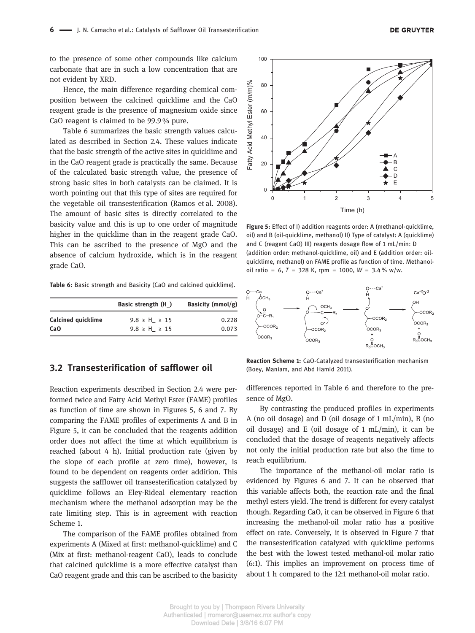to the presence of some other compounds like calcium carbonate that are in such a low concentration that are not evident by XRD.

Hence, the main difference regarding chemical composition between the calcined quicklime and the CaO reagent grade is the presence of magnesium oxide since CaO reagent is claimed to be 99.9 % pure.

Table 6 summarizes the basic strength values calculated as described in Section 2.4. These values indicate that the basic strength of the active sites in quicklime and in the CaO reagent grade is practically the same. Because of the calculated basic strength value, the presence of strong basic sites in both catalysts can be claimed. It is worth pointing out that this type of sites are required for the vegetable oil transesterification (Ramos et al. 2008). The amount of basic sites is directly correlated to the basicity value and this is up to one order of magnitude higher in the quicklime than in the reagent grade CaO. This can be ascribed to the presence of MgO and the absence of calcium hydroxide, which is in the reagent grade CaO.

Table 6: Basic strength and Basicity (CaO and calcined quicklime).

|                    | Basic strength (H)   | Basicity ( $mmol/g$ ) |
|--------------------|----------------------|-----------------------|
| Calcined quicklime | $9.8 \geq H \geq 15$ | 0.228                 |
| Ca <sub>O</sub>    | $9.8 \geq H \geq 15$ | 0.073                 |

# 3.2 Transesterification of safflower oil

Reaction experiments described in Section 2.4 were performed twice and Fatty Acid Methyl Ester (FAME) profiles as function of time are shown in Figures 5, 6 and 7. By comparing the FAME profiles of experiments A and B in Figure 5, it can be concluded that the reagents addition order does not affect the time at which equilibrium is reached (about 4 h). Initial production rate (given by the slope of each profile at zero time), however, is found to be dependent on reagents order addition. This suggests the safflower oil transesterification catalyzed by quicklime follows an Eley-Rideal elementary reaction mechanism where the methanol adsorption may be the rate limiting step. This is in agreement with reaction Scheme 1.

The comparison of the FAME profiles obtained from experiments A (Mixed at first: methanol-quicklime) and C (Mix at first: methanol-reagent CaO), leads to conclude that calcined quicklime is a more effective catalyst than CaO reagent grade and this can be ascribed to the basicity



Figure 5: Effect of I) addition reagents order: A (methanol-quicklime, oil) and B (oil-quicklime, methanol) II) Type of catalyst: A (quicklime) and C (reagent CaO) III) reagents dosage flow of 1 mL/min: D (addition order: methanol-quicklime, oil) and E (addition order: oilquicklime, methanol) on FAME profile as function of time. Methanoloil ratio = 6,  $T = 328$  K, rpm = 1000,  $W = 3.4$ % w/w.



Reaction Scheme 1: CaO-Catalyzed transesterification mechanism (Boey, Maniam, and Abd Hamid 2011).

differences reported in Table 6 and therefore to the presence of MgO.

By contrasting the produced profiles in experiments A (no oil dosage) and D (oil dosage of 1 mL/min), B (no oil dosage) and E (oil dosage of 1 mL/min), it can be concluded that the dosage of reagents negatively affects not only the initial production rate but also the time to reach equilibrium.

The importance of the methanol-oil molar ratio is evidenced by Figures 6 and 7. It can be observed that this variable affects both, the reaction rate and the final methyl esters yield. The trend is different for every catalyst though. Regarding CaO, it can be observed in Figure 6 that increasing the methanol-oil molar ratio has a positive effect on rate. Conversely, it is observed in Figure 7 that the transesterification catalyzed with quicklime performs the best with the lowest tested methanol-oil molar ratio (6:1). This implies an improvement on process time of about 1 h compared to the 12:1 methanol-oil molar ratio.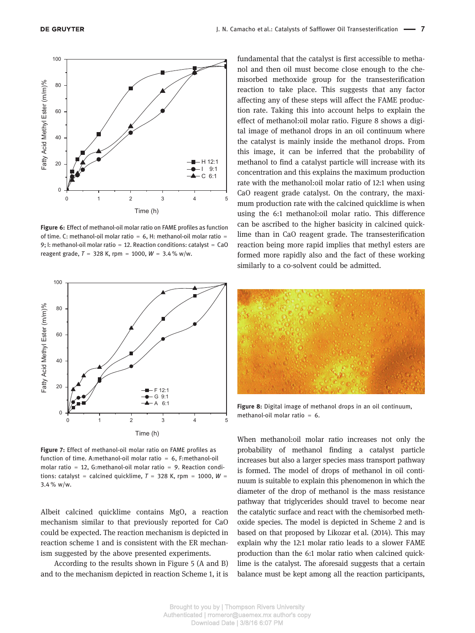

Figure 6: Effect of methanol-oil molar ratio on FAME profiles as function of time. C: methanol-oil molar ratio =  $6$ , H: methanol-oil molar ratio = 9; I: methanol-oil molar ratio = 12. Reaction conditions: catalyst = CaO reagent grade,  $T = 328$  K, rpm = 1000,  $W = 3.4$ % w/w.



Figure 7: Effect of methanol-oil molar ratio on FAME profiles as function of time. A:methanol-oil molar ratio = 6, F:methanol-oil molar ratio = 12, G:methanol-oil molar ratio = 9. Reaction conditions: catalyst = calcined quicklime,  $T = 328$  K, rpm = 1000, W = 3.4 % w/w.

Albeit calcined quicklime contains MgO, a reaction mechanism similar to that previously reported for CaO could be expected. The reaction mechanism is depicted in reaction scheme 1 and is consistent with the ER mechanism suggested by the above presented experiments.

According to the results shown in Figure 5 (A and B) and to the mechanism depicted in reaction Scheme 1, it is fundamental that the catalyst is first accessible to methanol and then oil must become close enough to the chemisorbed methoxide group for the transesterification reaction to take place. This suggests that any factor affecting any of these steps will affect the FAME production rate. Taking this into account helps to explain the effect of methanol:oil molar ratio. Figure 8 shows a digital image of methanol drops in an oil continuum where the catalyst is mainly inside the methanol drops. From this image, it can be inferred that the probability of methanol to find a catalyst particle will increase with its concentration and this explains the maximum production rate with the methanol:oil molar ratio of 12:1 when using CaO reagent grade catalyst. On the contrary, the maximum production rate with the calcined quicklime is when using the 6:1 methanol:oil molar ratio. This difference can be ascribed to the higher basicity in calcined quicklime than in CaO reagent grade. The transesterification reaction being more rapid implies that methyl esters are formed more rapidly also and the fact of these working similarly to a co-solvent could be admitted.



Figure 8: Digital image of methanol drops in an oil continuum, methanol-oil molar ratio = 6.

When methanol:oil molar ratio increases not only the probability of methanol finding a catalyst particle increases but also a larger species mass transport pathway is formed. The model of drops of methanol in oil continuum is suitable to explain this phenomenon in which the diameter of the drop of methanol is the mass resistance pathway that triglycerides should travel to become near the catalytic surface and react with the chemisorbed methoxide species. The model is depicted in Scheme 2 and is based on that proposed by Likozar et al. (2014). This may explain why the 12:1 molar ratio leads to a slower FAME production than the 6:1 molar ratio when calcined quicklime is the catalyst. The aforesaid suggests that a certain balance must be kept among all the reaction participants,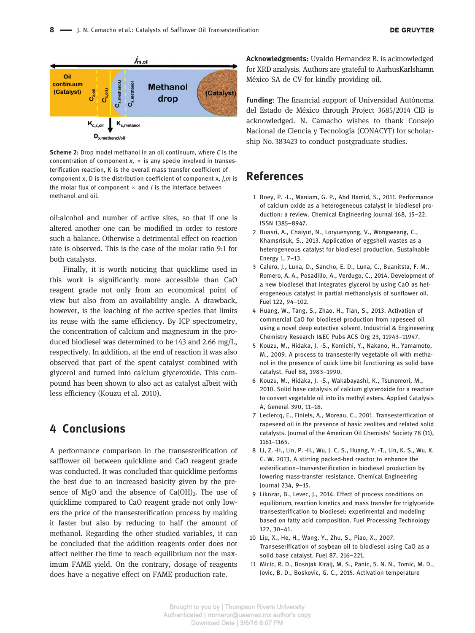

Scheme 2: Drop model methanol in an oil continuum, where C is the concentration of component  $x$ ,  $\times$  is any specie involved in transesterification reaction, K is the overall mass transfer coefficient of component x,  $D$  is the distribution coefficient of component x,  $j, m$  is the molar flux of component  $\times$  and *i* is the interface between methanol and oil.

oil:alcohol and number of active sites, so that if one is altered another one can be modified in order to restore such a balance. Otherwise a detrimental effect on reaction rate is observed. This is the case of the molar ratio 9:1 for both catalysts.

Finally, it is worth noticing that quicklime used in this work is significantly more accessible than CaO reagent grade not only from an economical point of view but also from an availability angle. A drawback, however, is the leaching of the active species that limits its reuse with the same efficiency. By ICP spectrometry, the concentration of calcium and magnesium in the produced biodiesel was determined to be 143 and 2.66 mg/L, respectively. In addition, at the end of reaction it was also observed that part of the spent catalyst combined with glycerol and turned into calcium glyceroxide. This compound has been shown to also act as catalyst albeit with less efficiency (Kouzu et al. 2010).

# 4 Conclusions

A performance comparison in the transesterification of safflower oil between quicklime and CaO reagent grade was conducted. It was concluded that quicklime performs the best due to an increased basicity given by the presence of MgO and the absence of  $Ca(OH)_2$ . The use of quicklime compared to CaO reagent grade not only lowers the price of the transesterification process by making it faster but also by reducing to half the amount of methanol. Regarding the other studied variables, it can be concluded that the addition reagents order does not affect neither the time to reach equilibrium nor the maximum FAME yield. On the contrary, dosage of reagents does have a negative effect on FAME production rate.

Acknowledgments: Uvaldo Hernandez B. is acknowledged for XRD analysis. Authors are grateful to AarhusKarlshamn México SA de CV for kindly providing oil.

Funding: The financial support of Universidad Autónoma del Estado de México through Project 3685/2014 CIB is acknowledged. N. Camacho wishes to thank Consejo Nacional de Ciencia y Tecnología (CONACYT) for scholarship No. 383423 to conduct postgraduate studies.

# References

- 1 Boey, P. -L., Maniam, G. P., Abd Hamid, S., 2011. Performance of calcium oxide as a heterogeneous catalyst in biodiesel production: a review. Chemical Engineering Journal 168, 15–22. ISSN 1385–8947.
- 2 Buasri, A., Chaiyut, N., Loryuenyong, V., Wongweang, C., Khamsrisuk, S., 2013. Application of eggshell wastes as a heterogeneous catalyst for biodiesel production. Sustainable Energy 1, 7–13.
- 3 Calero, J., Luna, D., Sancho, E. D., Luna, C., Buanitsta, F. M., Romero, A. A., Posadillo, A., Verdugo, C., 2014. Development of a new biodiesel that integrates glycerol by using CaO as heterogeneous catalyst in partial methanolysis of sunflower oil. Fuel 122, 94–102.
- 4 Huang, W., Tang, S., Zhao, H., Tian, S., 2013. Activation of commercial CaO for biodiesel production from rapeseed oil using a novel deep eutective solvent. Industrial & Engineeering Chemistry Research I&EC Pubs ACS Org 23, 11943–11947.
- 5 Kouzu, M., Hidaka, J. -S., Komichi, Y., Nakano, H., Yamamoto, M., 2009. A process to transesterify vegetable oil with methanol in the presence of quick lime bit functioning as solid base catalyst. Fuel 88, 1983–1990.
- 6 Kouzu, M., Hidaka, J. -S., Wakabayashi, K., Tsunomori, M., 2010. Solid base catalysis of calcium glyceroxide for a reaction to convert vegetable oil into its methyl esters. Applied Catalysis A, General 390, 11–18.
- 7 Leclercq, E., Finiels, A., Moreau, C., 2001. Transesterification of rapeseed oil in the presence of basic zeolites and related solid catalysts. Journal of the American Oil Chemists' Society 78 (11), 1161–1165.
- 8 Li, Z. -H., Lin, P. -H., Wu, J. C. S., Huang, Y. -T., Lin, K. S., Wu, K. C. W. 2013. A stirring packed-bed reactor to enhance the esterification–transesterification in biodiesel production by lowering mass-transfer resistance. Chemical Engineering Journal 234, 9–15.
- 9 Likozar, B., Levec, J., 2014. Effect of process conditions on equilibrium, reaction kinetics and mass transfer for triglyceride transesterification to biodiesel: experimental and modeling based on fatty acid composition. Fuel Processing Technology 122, 30–41.
- 10 Liu, X., He, H., Wang, Y., Zhu, S., Piao, X., 2007. Transeserification of soybean oil to biodiesel using CaO as a solid base catalyst. Fuel 87, 216–221.
- 11 Micic, R. D., Bosnjak Kiralj, M. S., Panic, S. N. N., Tomic, M. D., Jovic, B. D., Boskovic, G. C., 2015. Activation temperature